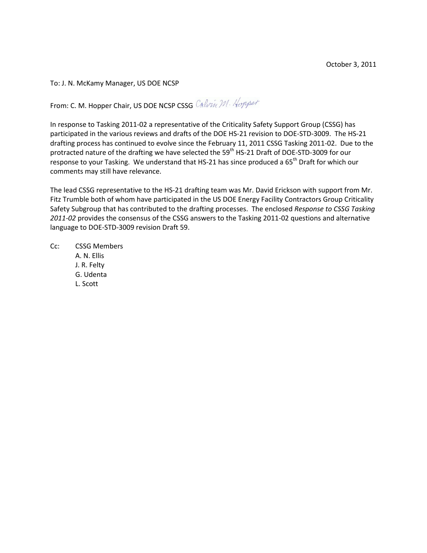To: J. N. McKamy Manager, US DOE NCSP

From: C. M. Hopper Chair, US DOE NCSP CSSG Calvin M. Hopper

In response to Tasking 2011-02 a representative of the Criticality Safety Support Group (CSSG) has participated in the various reviews and drafts of the DOE HS-21 revision to DOE-STD-3009. The HS-21 drafting process has continued to evolve since the February 11, 2011 CSSG Tasking 2011-02. Due to the protracted nature of the drafting we have selected the 59<sup>th</sup> HS-21 Draft of DOE-STD-3009 for our response to your Tasking. We understand that HS-21 has since produced a 65<sup>th</sup> Draft for which our comments may still have relevance.

The lead CSSG representative to the HS-21 drafting team was Mr. David Erickson with support from Mr. Fitz Trumble both of whom have participated in the US DOE Energy Facility Contractors Group Criticality Safety Subgroup that has contributed to the drafting processes. The enclosed *Response to CSSG Tasking 2011-02* provides the consensus of the CSSG answers to the Tasking 2011-02 questions and alternative language to DOE-STD-3009 revision Draft 59.

Cc: CSSG Members A. N. Ellis J. R. Felty G. Udenta L. Scott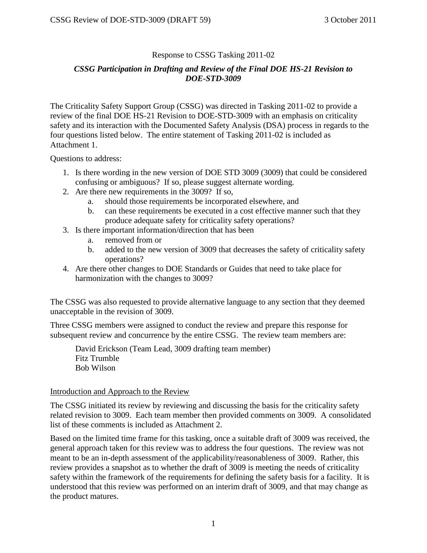# Response to CSSG Tasking 2011-02

# *CSSG Participation in Drafting and Review of the Final DOE HS-21 Revision to DOE-STD-3009*

The Criticality Safety Support Group (CSSG) was directed in Tasking 2011-02 to provide a review of the final DOE HS-21 Revision to DOE-STD-3009 with an emphasis on criticality safety and its interaction with the Documented Safety Analysis (DSA) process in regards to the four questions listed below. The entire statement of Tasking 2011-02 is included as Attachment 1.

Questions to address:

- 1. Is there wording in the new version of DOE STD 3009 (3009) that could be considered confusing or ambiguous? If so, please suggest alternate wording.
- 2. Are there new requirements in the 3009? If so,
	- a. should those requirements be incorporated elsewhere, and
	- b. can these requirements be executed in a cost effective manner such that they produce adequate safety for criticality safety operations?
- 3. Is there important information/direction that has been
	- a. removed from or
	- b. added to the new version of 3009 that decreases the safety of criticality safety operations?
- 4. Are there other changes to DOE Standards or Guides that need to take place for harmonization with the changes to 3009?

The CSSG was also requested to provide alternative language to any section that they deemed unacceptable in the revision of 3009.

Three CSSG members were assigned to conduct the review and prepare this response for subsequent review and concurrence by the entire CSSG. The review team members are:

David Erickson (Team Lead, 3009 drafting team member) Fitz Trumble Bob Wilson

# Introduction and Approach to the Review

The CSSG initiated its review by reviewing and discussing the basis for the criticality safety related revision to 3009. Each team member then provided comments on 3009. A consolidated list of these comments is included as Attachment 2.

Based on the limited time frame for this tasking, once a suitable draft of 3009 was received, the general approach taken for this review was to address the four questions. The review was not meant to be an in-depth assessment of the applicability/reasonableness of 3009. Rather, this review provides a snapshot as to whether the draft of 3009 is meeting the needs of criticality safety within the framework of the requirements for defining the safety basis for a facility. It is understood that this review was performed on an interim draft of 3009, and that may change as the product matures.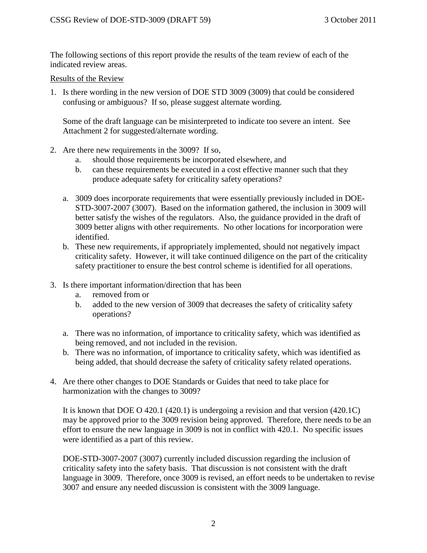The following sections of this report provide the results of the team review of each of the indicated review areas.

### Results of the Review

1. Is there wording in the new version of DOE STD 3009 (3009) that could be considered confusing or ambiguous? If so, please suggest alternate wording.

Some of the draft language can be misinterpreted to indicate too severe an intent. See Attachment 2 for suggested/alternate wording.

- 2. Are there new requirements in the 3009? If so,
	- a. should those requirements be incorporated elsewhere, and
	- b. can these requirements be executed in a cost effective manner such that they produce adequate safety for criticality safety operations?
	- a. 3009 does incorporate requirements that were essentially previously included in DOE-STD-3007-2007 (3007). Based on the information gathered, the inclusion in 3009 will better satisfy the wishes of the regulators. Also, the guidance provided in the draft of 3009 better aligns with other requirements. No other locations for incorporation were identified.
	- b. These new requirements, if appropriately implemented, should not negatively impact criticality safety. However, it will take continued diligence on the part of the criticality safety practitioner to ensure the best control scheme is identified for all operations.
- 3. Is there important information/direction that has been
	- a. removed from or
	- b. added to the new version of 3009 that decreases the safety of criticality safety operations?
	- a. There was no information, of importance to criticality safety, which was identified as being removed, and not included in the revision.
	- b. There was no information, of importance to criticality safety, which was identified as being added, that should decrease the safety of criticality safety related operations.
- 4. Are there other changes to DOE Standards or Guides that need to take place for harmonization with the changes to 3009?

It is known that DOE O 420.1 (420.1) is undergoing a revision and that version (420.1C) may be approved prior to the 3009 revision being approved. Therefore, there needs to be an effort to ensure the new language in 3009 is not in conflict with 420.1. No specific issues were identified as a part of this review.

DOE-STD-3007-2007 (3007) currently included discussion regarding the inclusion of criticality safety into the safety basis. That discussion is not consistent with the draft language in 3009. Therefore, once 3009 is revised, an effort needs to be undertaken to revise 3007 and ensure any needed discussion is consistent with the 3009 language.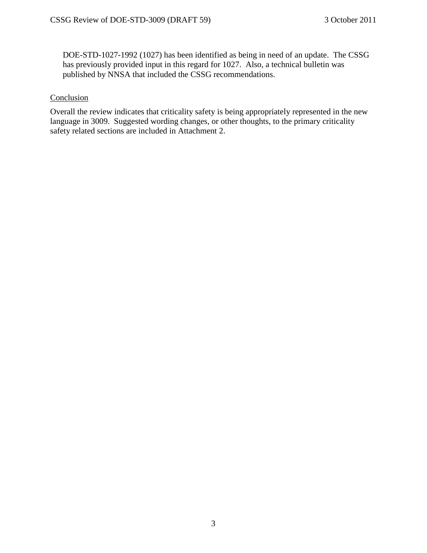DOE-STD-1027-1992 (1027) has been identified as being in need of an update. The CSSG has previously provided input in this regard for 1027. Also, a technical bulletin was published by NNSA that included the CSSG recommendations.

## **Conclusion**

Overall the review indicates that criticality safety is being appropriately represented in the new language in 3009. Suggested wording changes, or other thoughts, to the primary criticality safety related sections are included in Attachment 2.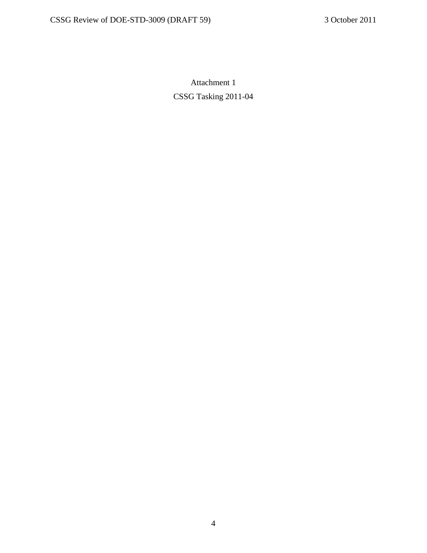Attachment 1 CSSG Tasking 2011-04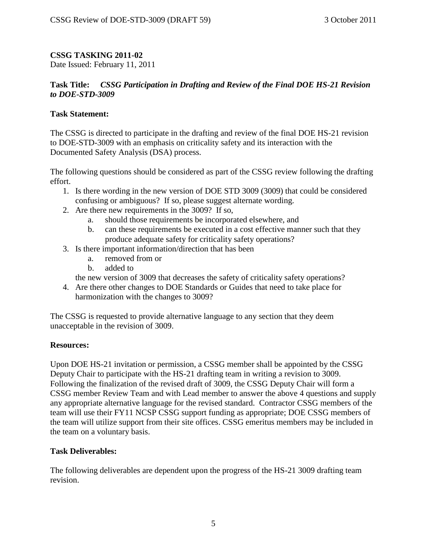# **CSSG TASKING 2011-02**

Date Issued: February 11, 2011

# **Task Title:** *CSSG Participation in Drafting and Review of the Final DOE HS-21 Revision to DOE-STD-3009*

## **Task Statement:**

The CSSG is directed to participate in the drafting and review of the final DOE HS-21 revision to DOE-STD-3009 with an emphasis on criticality safety and its interaction with the Documented Safety Analysis (DSA) process.

The following questions should be considered as part of the CSSG review following the drafting effort.

- 1. Is there wording in the new version of DOE STD 3009 (3009) that could be considered confusing or ambiguous? If so, please suggest alternate wording.
- 2. Are there new requirements in the 3009? If so,
	- a. should those requirements be incorporated elsewhere, and
	- b. can these requirements be executed in a cost effective manner such that they produce adequate safety for criticality safety operations?
- 3. Is there important information/direction that has been
	- a. removed from or
	- b. added to

the new version of 3009 that decreases the safety of criticality safety operations?

4. Are there other changes to DOE Standards or Guides that need to take place for harmonization with the changes to 3009?

The CSSG is requested to provide alternative language to any section that they deem unacceptable in the revision of 3009.

#### **Resources:**

Upon DOE HS-21 invitation or permission, a CSSG member shall be appointed by the CSSG Deputy Chair to participate with the HS-21 drafting team in writing a revision to 3009. Following the finalization of the revised draft of 3009, the CSSG Deputy Chair will form a CSSG member Review Team and with Lead member to answer the above 4 questions and supply any appropriate alternative language for the revised standard. Contractor CSSG members of the team will use their FY11 NCSP CSSG support funding as appropriate; DOE CSSG members of the team will utilize support from their site offices. CSSG emeritus members may be included in the team on a voluntary basis.

#### **Task Deliverables:**

The following deliverables are dependent upon the progress of the HS-21 3009 drafting team revision.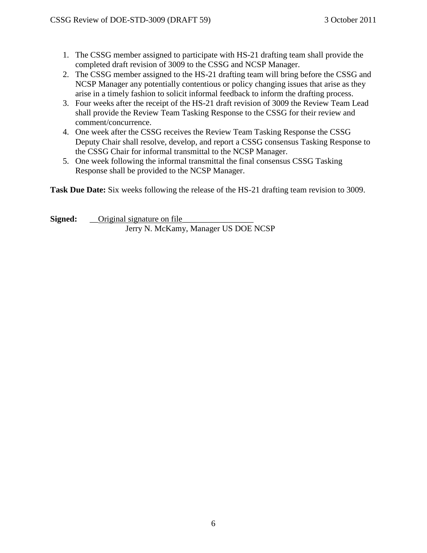- 1. The CSSG member assigned to participate with HS-21 drafting team shall provide the completed draft revision of 3009 to the CSSG and NCSP Manager.
- 2. The CSSG member assigned to the HS-21 drafting team will bring before the CSSG and NCSP Manager any potentially contentious or policy changing issues that arise as they arise in a timely fashion to solicit informal feedback to inform the drafting process.
- 3. Four weeks after the receipt of the HS-21 draft revision of 3009 the Review Team Lead shall provide the Review Team Tasking Response to the CSSG for their review and comment/concurrence.
- 4. One week after the CSSG receives the Review Team Tasking Response the CSSG Deputy Chair shall resolve, develop, and report a CSSG consensus Tasking Response to the CSSG Chair for informal transmittal to the NCSP Manager.
- 5. One week following the informal transmittal the final consensus CSSG Tasking Response shall be provided to the NCSP Manager.

**Task Due Date:** Six weeks following the release of the HS-21 drafting team revision to 3009.

**Signed:** \_\_\_Original signature on file\_ Jerry N. McKamy, Manager US DOE NCSP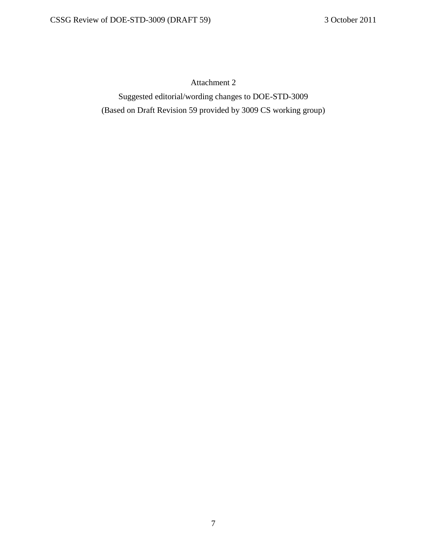Attachment 2

Suggested editorial/wording changes to DOE-STD-3009 (Based on Draft Revision 59 provided by 3009 CS working group)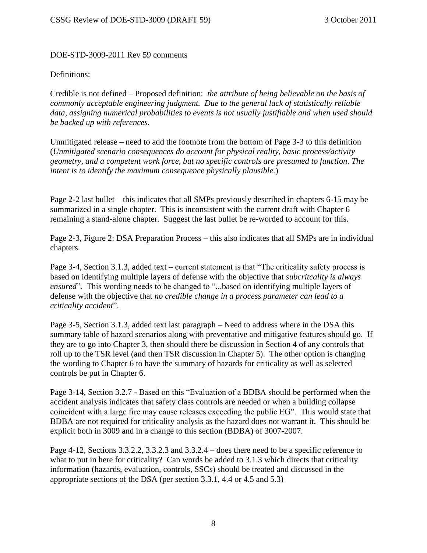## DOE-STD-3009-2011 Rev 59 comments

#### Definitions:

Credible is not defined – Proposed definition: *the attribute of being believable on the basis of commonly acceptable engineering judgment. Due to the general lack of statistically reliable data, assigning numerical probabilities to events is not usually justifiable and when used should be backed up with references.*

Unmitigated release – need to add the footnote from the bottom of Page 3-3 to this definition (*Unmitigated scenario consequences do account for physical reality, basic process/activity geometry, and a competent work force, but no specific controls are presumed to function. The intent is to identify the maximum consequence physically plausible.*)

Page 2-2 last bullet – this indicates that all SMPs previously described in chapters 6-15 may be summarized in a single chapter. This is inconsistent with the current draft with Chapter 6 remaining a stand-alone chapter. Suggest the last bullet be re-worded to account for this.

Page 2-3, Figure 2: DSA Preparation Process – this also indicates that all SMPs are in individual chapters.

Page 3-4, Section 3.1.3, added text – current statement is that "The criticality safety process is based on identifying multiple layers of defense with the objective that *subcritcality is always ensured*". This wording needs to be changed to "...based on identifying multiple layers of defense with the objective that *no credible change in a process parameter can lead to a criticality accident*".

Page 3-5, Section 3.1.3, added text last paragraph – Need to address where in the DSA this summary table of hazard scenarios along with preventative and mitigative features should go. If they are to go into Chapter 3, then should there be discussion in Section 4 of any controls that roll up to the TSR level (and then TSR discussion in Chapter 5). The other option is changing the wording to Chapter 6 to have the summary of hazards for criticality as well as selected controls be put in Chapter 6.

Page 3-14, Section 3.2.7 - Based on this "Evaluation of a BDBA should be performed when the accident analysis indicates that safety class controls are needed or when a building collapse coincident with a large fire may cause releases exceeding the public EG". This would state that BDBA are not required for criticality analysis as the hazard does not warrant it. This should be explicit both in 3009 and in a change to this section (BDBA) of 3007-2007.

Page 4-12, Sections 3.3.2.2, 3.3.2.3 and 3.3.2.4 – does there need to be a specific reference to what to put in here for criticality? Can words be added to 3.1.3 which directs that criticality information (hazards, evaluation, controls, SSCs) should be treated and discussed in the appropriate sections of the DSA (per section 3.3.1, 4.4 or 4.5 and 5.3)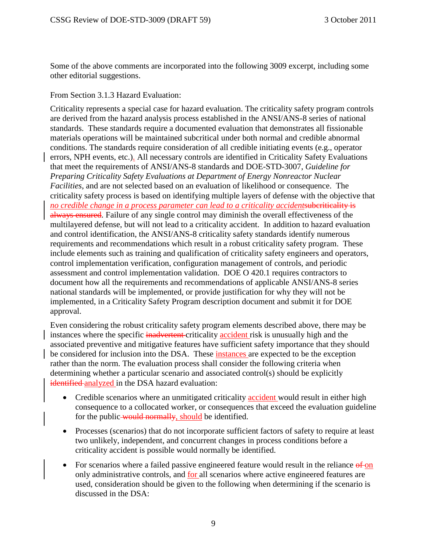Some of the above comments are incorporated into the following 3009 excerpt, including some other editorial suggestions.

### From Section 3.1.3 Hazard Evaluation:

Criticality represents a special case for hazard evaluation. The criticality safety program controls are derived from the hazard analysis process established in the ANSI/ANS-8 series of national standards. These standards require a documented evaluation that demonstrates all fissionable materials operations will be maintained subcritical under both normal and credible abnormal conditions. The standards require consideration of all credible initiating events (e.g., operator errors, NPH events, etc.). All necessary controls are identified in Criticality Safety Evaluations that meet the requirements of ANSI/ANS-8 standards and DOE-STD-3007, *Guideline for Preparing Criticality Safety Evaluations at Department of Energy Nonreactor Nuclear Facilities*, and are not selected based on an evaluation of likelihood or consequence. The criticality safety process is based on identifying multiple layers of defense with the objective that *no credible change in a process parameter can lead to a criticality accidentsuberiticality is* always ensured. Failure of any single control may diminish the overall effectiveness of the multilayered defense, but will not lead to a criticality accident. In addition to hazard evaluation and control identification, the ANSI/ANS-8 criticality safety standards identify numerous requirements and recommendations which result in a robust criticality safety program. These include elements such as training and qualification of criticality safety engineers and operators, control implementation verification, configuration management of controls, and periodic assessment and control implementation validation. DOE O 420.1 requires contractors to document how all the requirements and recommendations of applicable ANSI/ANS-8 series national standards will be implemented, or provide justification for why they will not be implemented, in a Criticality Safety Program description document and submit it for DOE approval.

Even considering the robust criticality safety program elements described above, there may be instances where the specific inadvertent criticality accident risk is unusually high and the associated preventive and mitigative features have sufficient safety importance that they should be considered for inclusion into the DSA. These instances are expected to be the exception rather than the norm. The evaluation process shall consider the following criteria when determining whether a particular scenario and associated control(s) should be explicitly identified analyzed in the DSA hazard evaluation:

- Credible scenarios where an unmitigated criticality accident would result in either high consequence to a collocated worker, or consequences that exceed the evaluation guideline for the public-would normally, should be identified.
- Processes (scenarios) that do not incorporate sufficient factors of safety to require at least two unlikely, independent, and concurrent changes in process conditions before a criticality accident is possible would normally be identified.
- For scenarios where a failed passive engineered feature would result in the reliance of on only administrative controls, and for all scenarios where active engineered features are used, consideration should be given to the following when determining if the scenario is discussed in the DSA: